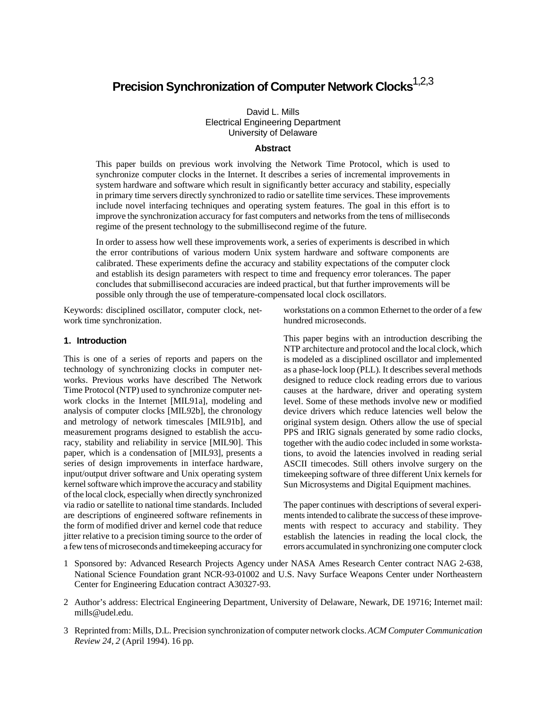# **Precision Synchronization of Computer Network Clocks**1,2,3

David L. Mills Electrical Engineering Department University of Delaware

## **Abstract**

This paper builds on previous work involving the Network Time Protocol, which is used to synchronize computer clocks in the Internet. It describes a series of incremental improvements in system hardware and software which result in significantly better accuracy and stability, especially in primary time servers directly synchronized to radio or satellite time services. These improvements include novel interfacing techniques and operating system features. The goal in this effort is to improve the synchronization accuracy for fast computers and networks from the tens of milliseconds regime of the present technology to the submillisecond regime of the future.

In order to assess how well these improvements work, a series of experiments is described in which the error contributions of various modern Unix system hardware and software components are calibrated. These experiments define the accuracy and stability expectations of the computer clock and establish its design parameters with respect to time and frequency error tolerances. The paper concludes that submillisecond accuracies are indeed practical, but that further improvements will be possible only through the use of temperature-compensated local clock oscillators.

Keywords: disciplined oscillator, computer clock, network time synchronization.

## **1. Introduction**

This is one of a series of reports and papers on the technology of synchronizing clocks in computer networks. Previous works have described The Network Time Protocol (NTP) used to synchronize computer network clocks in the Internet [MIL91a], modeling and analysis of computer clocks [MIL92b], the chronology and metrology of network timescales [MIL91b], and measurement programs designed to establish the accuracy, stability and reliability in service [MIL90]. This paper, which is a condensation of [MIL93], presents a series of design improvements in interface hardware, input/output driver software and Unix operating system kernel software which improve the accuracy and stability of the local clock, especially when directly synchronized via radio or satellite to national time standards. Included are descriptions of engineered software refinements in the form of modified driver and kernel code that reduce jitter relative to a precision timing source to the order of a few tens of microseconds and timekeeping accuracy for

workstations on a common Ethernet to the order of a few hundred microseconds.

This paper begins with an introduction describing the NTP architecture and protocol and the local clock, which is modeled as a disciplined oscillator and implemented as a phase-lock loop (PLL). It describes several methods designed to reduce clock reading errors due to various causes at the hardware, driver and operating system level. Some of these methods involve new or modified device drivers which reduce latencies well below the original system design. Others allow the use of special PPS and IRIG signals generated by some radio clocks, together with the audio codec included in some workstations, to avoid the latencies involved in reading serial ASCII timecodes. Still others involve surgery on the timekeeping software of three different Unix kernels for Sun Microsystems and Digital Equipment machines.

The paper continues with descriptions of several experiments intended to calibrate the success of these improvements with respect to accuracy and stability. They establish the latencies in reading the local clock, the errors accumulated in synchronizing one computer clock

- 1 Sponsored by: Advanced Research Projects Agency under NASA Ames Research Center contract NAG 2-638, National Science Foundation grant NCR-93-01002 and U.S. Navy Surface Weapons Center under Northeastern Center for Engineering Education contract A30327-93.
- 2 Author's address: Electrical Engineering Department, University of Delaware, Newark, DE 19716; Internet mail: mills@udel.edu.
- 3 Reprinted from:Mills, D.L. Precision synchronization of computer network clocks. *ACM Computer Communication Review 24, 2* (April 1994). 16 pp.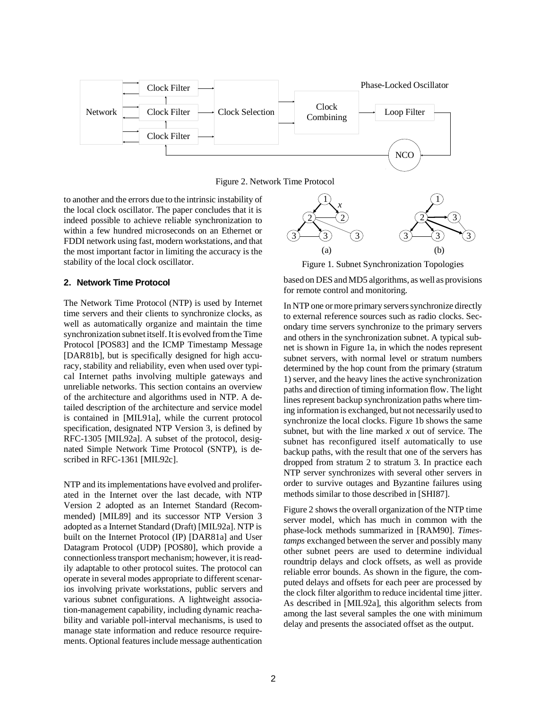

Figure 2. Network Time Protocol

to another and the errors due to the intrinsic instability of the local clock oscillator. The paper concludes that it is indeed possible to achieve reliable synchronization to within a few hundred microseconds on an Ethernet or FDDI network using fast, modern workstations, and that the most important factor in limiting the accuracy is the stability of the local clock oscillator.

# **2. Network Time Protocol**

The Network Time Protocol (NTP) is used by Internet time servers and their clients to synchronize clocks, as well as automatically organize and maintain the time synchronization subnet itself. It is evolved from the Time Protocol [POS83] and the ICMP Timestamp Message [DAR81b], but is specifically designed for high accuracy, stability and reliability, even when used over typical Internet paths involving multiple gateways and unreliable networks. This section contains an overview of the architecture and algorithms used in NTP. A detailed description of the architecture and service model is contained in [MIL91a], while the current protocol specification, designated NTP Version 3, is defined by RFC-1305 [MIL92a]. A subset of the protocol, designated Simple Network Time Protocol (SNTP), is described in RFC-1361 [MIL92c].

NTP and its implementations have evolved and proliferated in the Internet over the last decade, with NTP Version 2 adopted as an Internet Standard (Recommended) [MIL89] and its successor NTP Version 3 adopted as a Internet Standard (Draft) [MIL92a]. NTP is built on the Internet Protocol (IP) [DAR81a] and User Datagram Protocol (UDP) [POS80], which provide a connectionless transport mechanism; however, it is readily adaptable to other protocol suites. The protocol can operate in several modes appropriate to different scenarios involving private workstations, public servers and various subnet configurations. A lightweight association-management capability, including dynamic reachability and variable poll-interval mechanisms, is used to manage state information and reduce resource requirements. Optional features include message authentication



Figure 1. Subnet Synchronization Topologies

based on DES and MD5 algorithms, as well as provisions for remote control and monitoring.

In NTP one or more primary servers synchronize directly to external reference sources such as radio clocks. Secondary time servers synchronize to the primary servers and others in the synchronization subnet. A typical subnet is shown in Figure 1a, in which the nodes represent subnet servers, with normal level or stratum numbers determined by the hop count from the primary (stratum 1) server, and the heavy lines the active synchronization paths and direction of timing information flow. The light lines represent backup synchronization paths where timing information is exchanged, but not necessarily used to synchronize the local clocks. Figure 1b shows the same subnet, but with the line marked *x* out of service. The subnet has reconfigured itself automatically to use backup paths, with the result that one of the servers has dropped from stratum 2 to stratum 3. In practice each NTP server synchronizes with several other servers in order to survive outages and Byzantine failures using methods similar to those described in [SHI87].

Figure 2 shows the overall organization of the NTP time server model, which has much in common with the phase-lock methods summarized in [RAM90]. *Timestamps* exchanged between the server and possibly many other subnet peers are used to determine individual roundtrip delays and clock offsets, as well as provide reliable error bounds. As shown in the figure, the computed delays and offsets for each peer are processed by the clock filter algorithm to reduce incidental time jitter. As described in [MIL92a], this algorithm selects from among the last several samples the one with minimum delay and presents the associated offset as the output.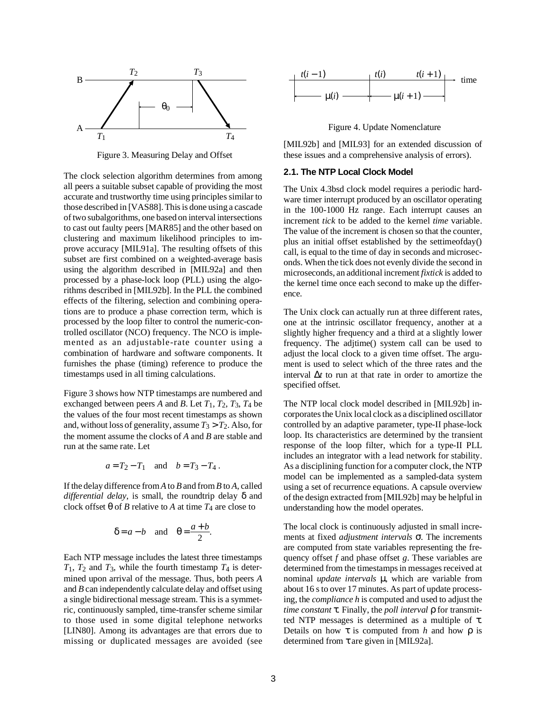

Figure 3. Measuring Delay and Offset

The clock selection algorithm determines from among all peers a suitable subset capable of providing the most accurate and trustworthy time using principles similar to those described in [VAS88]. This is done using a cascade of two subalgorithms, one based on interval intersections to cast out faulty peers [MAR85] and the other based on clustering and maximum likelihood principles to improve accuracy [MIL91a]. The resulting offsets of this subset are first combined on a weighted-average basis using the algorithm described in [MIL92a] and then processed by a phase-lock loop (PLL) using the algorithms described in [MIL92b]. In the PLL the combined effects of the filtering, selection and combining operations are to produce a phase correction term, which is processed by the loop filter to control the numeric-controlled oscillator (NCO) frequency. The NCO is implemented as an adjustable-rate counter using a combination of hardware and software components. It furnishes the phase (timing) reference to produce the timestamps used in all timing calculations.

Figure 3 shows how NTP timestamps are numbered and exchanged between peers *A* and *B*. Let  $T_1$ ,  $T_2$ ,  $T_3$ ,  $T_4$  be the values of the four most recent timestamps as shown and, without loss of generality, assume  $T_3 > T_2$ . Also, for the moment assume the clocks of *A* and *B* are stable and run at the same rate. Let

$$
a = T_2 - T_1 \quad \text{and} \quad b = T_3 - T_4 \, .
$$

If the delay difference from *A* to *B* and from *B* to *A*, called *differential delay*, is small, the roundtrip delay δ and clock offset θ of *B* relative to *A* at time *T*4 are close to

$$
\delta = a - b \quad \text{and} \quad \theta = \frac{a + b}{2}.
$$

Each NTP message includes the latest three timestamps *T*1, *T*2 and *T*3, while the fourth timestamp *T*4 is determined upon arrival of the message. Thus, both peers *A* and *B* can independently calculate delay and offset using a single bidirectional message stream. This is a symmetric, continuously sampled, time-transfer scheme similar to those used in some digital telephone networks [LIN80]. Among its advantages are that errors due to missing or duplicated messages are avoided (see



Figure 4. Update Nomenclature

[MIL92b] and [MIL93] for an extended discussion of these issues and a comprehensive analysis of errors).

## **2.1. The NTP Local Clock Model**

The Unix 4.3bsd clock model requires a periodic hardware timer interrupt produced by an oscillator operating in the 100-1000 Hz range. Each interrupt causes an increment *tick* to be added to the kernel *time* variable. The value of the increment is chosen so that the counter, plus an initial offset established by the settimeofday() call, is equal to the time of day in seconds and microseconds. When the tick does not evenly divide the second in microseconds, an additional increment *fixtick* is added to the kernel time once each second to make up the difference.

The Unix clock can actually run at three different rates, one at the intrinsic oscillator frequency, another at a slightly higher frequency and a third at a slightly lower frequency. The adjtime() system call can be used to adjust the local clock to a given time offset. The argument is used to select which of the three rates and the interval ∆*t* to run at that rate in order to amortize the specified offset.

The NTP local clock model described in [MIL92b] incorporates the Unix local clock as a disciplined oscillator controlled by an adaptive parameter, type-II phase-lock loop. Its characteristics are determined by the transient response of the loop filter, which for a type-II PLL includes an integrator with a lead network for stability. As a disciplining function for a computer clock, the NTP model can be implemented as a sampled-data system using a set of recurrence equations. A capsule overview of the design extracted from [MIL92b] may be helpful in understanding how the model operates.

The local clock is continuously adjusted in small increments at fixed *adjustment intervals* σ. The increments are computed from state variables representing the frequency offset *f* and phase offset *g*. These variables are determined from the timestamps in messages received at nominal *update intervals* µ, which are variable from about 16 s to over 17 minutes. As part of update processing, the *compliance h* is computed and used to adjust the *time constant* τ. Finally, the *poll interval* ρ for transmitted NTP messages is determined as a multiple of τ. Details on how  $\tau$  is computed from *h* and how  $\rho$  is determined from τ are given in [MIL92a].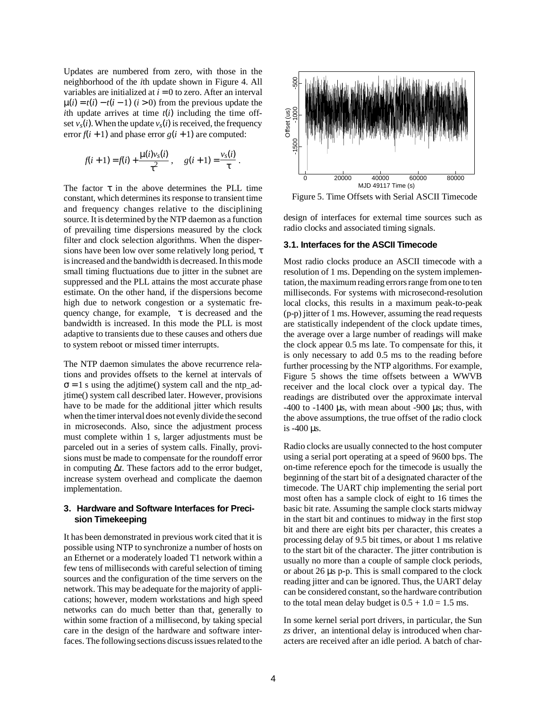Updates are numbered from zero, with those in the neighborhood of the *i*th update shown in Figure 4. All variables are initialized at  $i = 0$  to zero. After an interval  $\mu(i) = t(i) - t(i-1)$  (*i* > 0) from the previous update the *i*th update arrives at time  $t(i)$  including the time offset  $v_s(i)$ . When the update  $v_s(i)$  is received, the frequency error  $f(i + 1)$  and phase error  $g(i + 1)$  are computed:

$$
f(i + 1) = f(i) + \frac{\mu(i)v_s(i)}{\tau^2}, \quad g(i + 1) = \frac{v_s(i)}{\tau}.
$$

The factor  $\tau$  in the above determines the PLL time constant, which determines its response to transient time and frequency changes relative to the disciplining source. It is determined by the NTP daemon as a function of prevailing time dispersions measured by the clock filter and clock selection algorithms. When the dispersions have been low over some relatively long period, τ is increased and the bandwidth is decreased. In this mode small timing fluctuations due to jitter in the subnet are suppressed and the PLL attains the most accurate phase estimate. On the other hand, if the dispersions become high due to network congestion or a systematic frequency change, for example,  $\tau$  is decreased and the bandwidth is increased. In this mode the PLL is most adaptive to transients due to these causes and others due to system reboot or missed timer interrupts.

The NTP daemon simulates the above recurrence relations and provides offsets to the kernel at intervals of  $\sigma = 1$  s using the adjtime() system call and the ntp\_adjtime() system call described later. However, provisions have to be made for the additional jitter which results when the timer interval does not evenly divide the second in microseconds. Also, since the adjustment process must complete within 1 s, larger adjustments must be parceled out in a series of system calls. Finally, provisions must be made to compensate for the roundoff error in computing ∆*t*. These factors add to the error budget, increase system overhead and complicate the daemon implementation.

# **3. Hardware and Software Interfaces for Precision Timekeeping**

It has been demonstrated in previous work cited that it is possible using NTP to synchronize a number of hosts on an Ethernet or a moderately loaded T1 network within a few tens of milliseconds with careful selection of timing sources and the configuration of the time servers on the network. This may be adequate for the majority of applications; however, modern workstations and high speed networks can do much better than that, generally to within some fraction of a millisecond, by taking special care in the design of the hardware and software interfaces. The following sections discuss issues related to the



Figure 5. Time Offsets with Serial ASCII Timecode

design of interfaces for external time sources such as radio clocks and associated timing signals.

#### **3.1. Interfaces for the ASCII Timecode**

Most radio clocks produce an ASCII timecode with a resolution of 1 ms. Depending on the system implementation, the maximum reading errors range from one to ten milliseconds. For systems with microsecond-resolution local clocks, this results in a maximum peak-to-peak (p-p) jitter of 1 ms. However, assuming the read requests are statistically independent of the clock update times, the average over a large number of readings will make the clock appear 0.5 ms late. To compensate for this, it is only necessary to add 0.5 ms to the reading before further processing by the NTP algorithms. For example, Figure 5 shows the time offsets between a WWVB receiver and the local clock over a typical day. The readings are distributed over the approximate interval  $-400$  to  $-1400$  µs, with mean about  $-900$  µs; thus, with the above assumptions, the true offset of the radio clock is -400 µs.

Radio clocks are usually connected to the host computer using a serial port operating at a speed of 9600 bps. The on-time reference epoch for the timecode is usually the beginning of the start bit of a designated character of the timecode. The UART chip implementing the serial port most often has a sample clock of eight to 16 times the basic bit rate. Assuming the sample clock starts midway in the start bit and continues to midway in the first stop bit and there are eight bits per character, this creates a processing delay of 9.5 bit times, or about 1 ms relative to the start bit of the character. The jitter contribution is usually no more than a couple of sample clock periods, or about 26 µs p-p. This is small compared to the clock reading jitter and can be ignored. Thus, the UART delay can be considered constant, so the hardware contribution to the total mean delay budget is  $0.5 + 1.0 = 1.5$  ms.

In some kernel serial port drivers, in particular, the Sun *zs* driver, an intentional delay is introduced when characters are received after an idle period. A batch of char-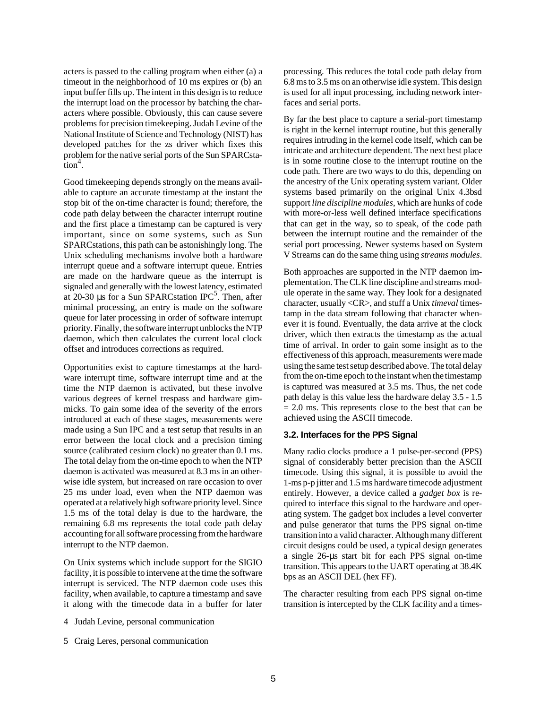acters is passed to the calling program when either (a) a timeout in the neighborhood of 10 ms expires or (b) an input buffer fills up. The intent in this design is to reduce the interrupt load on the processor by batching the characters where possible. Obviously, this can cause severe problems for precision timekeeping. Judah Levine of the National Institute of Science and Technology (NIST) has developed patches for the zs driver which fixes this problem for the native serial ports of the Sun SPARCsta- $\frac{1}{\text{tion}^4}$ .

Good timekeeping depends strongly on the means available to capture an accurate timestamp at the instant the stop bit of the on-time character is found; therefore, the code path delay between the character interrupt routine and the first place a timestamp can be captured is very important, since on some systems, such as Sun SPARCstations, this path can be astonishingly long. The Unix scheduling mechanisms involve both a hardware interrupt queue and a software interrupt queue. Entries are made on the hardware queue as the interrupt is signaled and generally with the lowest latency, estimated at 20-30  $\mu$ s for a Sun SPARC station IPC<sup>5</sup>. Then, after minimal processing, an entry is made on the software queue for later processing in order of software interrupt priority. Finally, the software interrupt unblocks the NTP daemon, which then calculates the current local clock offset and introduces corrections as required.

Opportunities exist to capture timestamps at the hardware interrupt time, software interrupt time and at the time the NTP daemon is activated, but these involve various degrees of kernel trespass and hardware gimmicks. To gain some idea of the severity of the errors introduced at each of these stages, measurements were made using a Sun IPC and a test setup that results in an error between the local clock and a precision timing source (calibrated cesium clock) no greater than 0.1 ms. The total delay from the on-time epoch to when the NTP daemon is activated was measured at 8.3 ms in an otherwise idle system, but increased on rare occasion to over 25 ms under load, even when the NTP daemon was operated at a relatively high software priority level. Since 1.5 ms of the total delay is due to the hardware, the remaining 6.8 ms represents the total code path delay accounting for all software processing from the hardware interrupt to the NTP daemon.

On Unix systems which include support for the SIGIO facility, it is possible to intervene at the time the software interrupt is serviced. The NTP daemon code uses this facility, when available, to capture a timestamp and save it along with the timecode data in a buffer for later

- 4 Judah Levine, personal communication
- 5 Craig Leres, personal communication

processing. This reduces the total code path delay from 6.8 ms to 3.5 ms on an otherwise idle system. This design is used for all input processing, including network interfaces and serial ports.

By far the best place to capture a serial-port timestamp is right in the kernel interrupt routine, but this generally requires intruding in the kernel code itself, which can be intricate and architecture dependent. The next best place is in some routine close to the interrupt routine on the code path. There are two ways to do this, depending on the ancestry of the Unix operating system variant. Older systems based primarily on the original Unix 4.3bsd support *line discipline modules*, which are hunks of code with more-or-less well defined interface specifications that can get in the way, so to speak, of the code path between the interrupt routine and the remainder of the serial port processing. Newer systems based on System V Streams can do the same thing using *streams modules*.

Both approaches are supported in the NTP daemon implementation. The CLK line discipline and streams module operate in the same way. They look for a designated character, usually <CR>, and stuff a Unix *timeval* timestamp in the data stream following that character whenever it is found. Eventually, the data arrive at the clock driver, which then extracts the timestamp as the actual time of arrival. In order to gain some insight as to the effectiveness of this approach, measurements were made using the same test setup described above. The total delay from the on-time epoch to the instant when the timestamp is captured was measured at 3.5 ms. Thus, the net code path delay is this value less the hardware delay 3.5 - 1.5  $= 2.0$  ms. This represents close to the best that can be achieved using the ASCII timecode.

#### **3.2. Interfaces for the PPS Signal**

Many radio clocks produce a 1 pulse-per-second (PPS) signal of considerably better precision than the ASCII timecode. Using this signal, it is possible to avoid the 1-ms p-p jitter and 1.5 ms hardware timecode adjustment entirely. However, a device called a *gadget box* is required to interface this signal to the hardware and operating system. The gadget box includes a level converter and pulse generator that turns the PPS signal on-time transition into a valid character. Although many different circuit designs could be used, a typical design generates a single 26-µs start bit for each PPS signal on-time transition. This appears to the UART operating at 38.4K bps as an ASCII DEL (hex FF).

The character resulting from each PPS signal on-time transition is intercepted by the CLK facility and a times-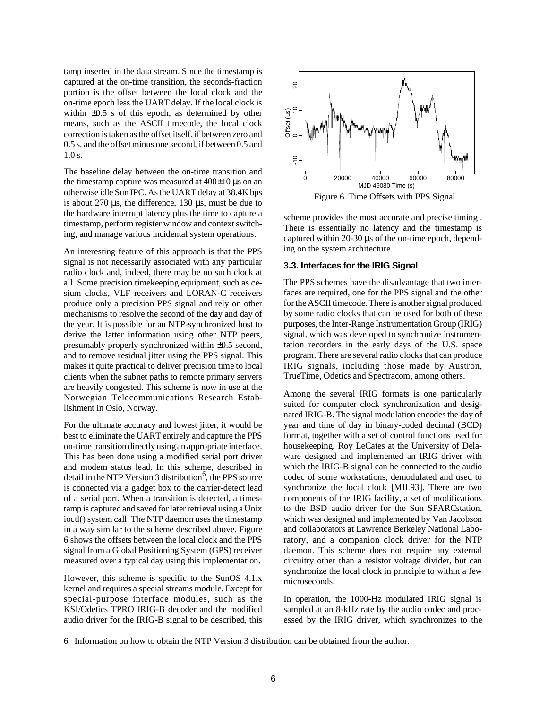tamp inserted in the data stream. Since the timestamp is captured at the on-time transition, the seconds-fraction portion is the offset between the local clock and the on-time epoch less the UART delay. If the local clock is within  $\pm 0.5$  s of this epoch, as determined by other means, such as the ASCII timecode, the local clock correction is taken as the offset itself, if between zero and 0.5 s, and the offset minus one second, if between 0.5 and 1.0 s.

The baseline delay between the on-time transition and the timestamp capture was measured at  $400\pm10$  µs on an otherwise idle Sun IPC. As the UART delay at 38.4K bps is about  $270 \mu s$ , the difference,  $130 \mu s$ , must be due to the hardware interrupt latency plus the time to capture a timestamp, perform register window and context switching, and manage various incidental system operations.

An interesting feature of this approach is that the PPS signal is not necessarily associated with any particular radio clock and, indeed, there may be no such clock at all. Some precision timekeeping equipment, such as cesium clocks, VLF receivers and LORAN-C receivers produce only a precision PPS signal and rely on other mechanisms to resolve the second of the day and day of the year. It is possible for an NTP-synchronized host to derive the latter information using other NTP peers, presumably properly synchronized within ±0.5 second, and to remove residual jitter using the PPS signal. This makes it quite practical to deliver precision time to local clients when the subnet paths to remote primary servers are heavily congested. This scheme is now in use at the Norwegian Telecommunications Research Establishment in Oslo, Norway.

For the ultimate accuracy and lowest jitter, it would be best to eliminate the UART entirely and capture the PPS on-time transition directly using an appropriate interface. This has been done using a modified serial port driver and modem status lead. In this scheme, described in detail in the NTP Version 3 distribution<sup>6</sup>, the PPS source is connected via a gadget box to the carrier-detect lead of a serial port. When a transition is detected, a timestamp is captured and saved for later retrieval using a Unix ioctl() system call. The NTP daemon uses the timestamp in a way similar to the scheme described above. Figure 6 shows the offsets between the local clock and the PPS signal from a Global Positioning System (GPS) receiver measured over a typical day using this implementation.

However, this scheme is specific to the SunOS 4.1.x kernel and requires a special streams module. Except for special-purpose interface modules, such as the KSI/Odetics TPRO IRIG-B decoder and the modified audio driver for the IRIG-B signal to be described, this



Figure 6. Time Offsets with PPS Signal

scheme provides the most accurate and precise timing . There is essentially no latency and the timestamp is captured within 20-30 µs of the on-time epoch, depending on the system architecture.

## **3.3. Interfaces for the IRIG Signal**

The PPS schemes have the disadvantage that two interfaces are required, one for the PPS signal and the other for the ASCII timecode. There is another signal produced by some radio clocks that can be used for both of these purposes, the Inter-Range Instrumentation Group (IRIG) signal, which was developed to synchronize instrumentation recorders in the early days of the U.S. space program. There are several radio clocks that can produce IRIG signals, including those made by Austron, TrueTime, Odetics and Spectracom, among others.

Among the several IRIG formats is one particularly suited for computer clock synchronization and designated IRIG-B. The signal modulation encodes the day of year and time of day in binary-coded decimal (BCD) format, together with a set of control functions used for housekeeping. Roy LeCates at the University of Delaware designed and implemented an IRIG driver with which the IRIG-B signal can be connected to the audio codec of some workstations, demodulated and used to synchronize the local clock [MIL93]. There are two components of the IRIG facility, a set of modifications to the BSD audio driver for the Sun SPARCstation, which was designed and implemented by Van Jacobson and collaborators at Lawrence Berkeley National Laboratory, and a companion clock driver for the NTP daemon. This scheme does not require any external circuitry other than a resistor voltage divider, but can synchronize the local clock in principle to within a few microseconds.

In operation, the 1000-Hz modulated IRIG signal is sampled at an 8-kHz rate by the audio codec and processed by the IRIG driver, which synchronizes to the

<sup>6</sup> Information on how to obtain the NTP Version 3 distribution can be obtained from the author.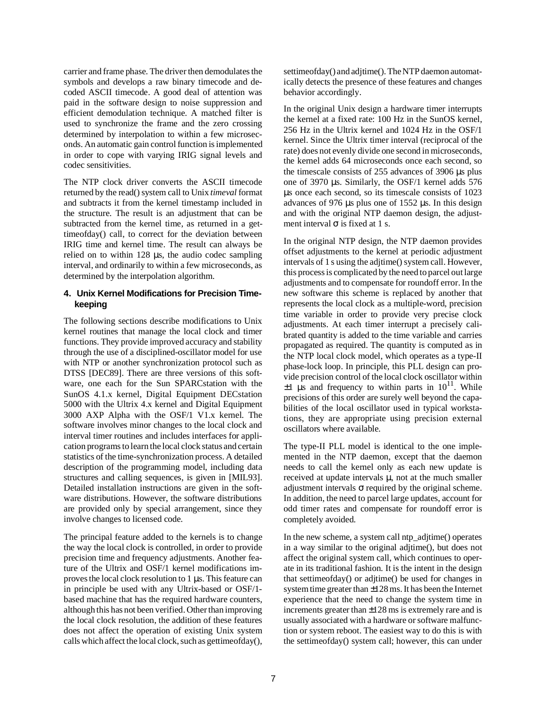carrier and frame phase. The driver then demodulates the symbols and develops a raw binary timecode and decoded ASCII timecode. A good deal of attention was paid in the software design to noise suppression and efficient demodulation technique. A matched filter is used to synchronize the frame and the zero crossing determined by interpolation to within a few microseconds. An automatic gain control function is implemented in order to cope with varying IRIG signal levels and codec sensitivities.

The NTP clock driver converts the ASCII timecode returned by the read() system call to Unix *timeval* format and subtracts it from the kernel timestamp included in the structure. The result is an adjustment that can be subtracted from the kernel time, as returned in a gettimeofday() call, to correct for the deviation between IRIG time and kernel time. The result can always be relied on to within 128 µs, the audio codec sampling interval, and ordinarily to within a few microseconds, as determined by the interpolation algorithm.

# **4. Unix Kernel Modifications for Precision Timekeeping**

The following sections describe modifications to Unix kernel routines that manage the local clock and timer functions. They provide improved accuracy and stability through the use of a disciplined-oscillator model for use with NTP or another synchronization protocol such as DTSS [DEC89]. There are three versions of this software, one each for the Sun SPARCstation with the SunOS 4.1.x kernel, Digital Equipment DECstation 5000 with the Ultrix 4.x kernel and Digital Equipment 3000 AXP Alpha with the OSF/1 V1.x kernel. The software involves minor changes to the local clock and interval timer routines and includes interfaces for application programs to learn the local clock status and certain statistics of the time-synchronization process. A detailed description of the programming model, including data structures and calling sequences, is given in [MIL93]. Detailed installation instructions are given in the software distributions. However, the software distributions are provided only by special arrangement, since they involve changes to licensed code.

The principal feature added to the kernels is to change the way the local clock is controlled, in order to provide precision time and frequency adjustments. Another feature of the Ultrix and OSF/1 kernel modifications improves the local clock resolution to 1 µs. This feature can in principle be used with any Ultrix-based or OSF/1 based machine that has the required hardware counters, although this has not been verified. Other than improving the local clock resolution, the addition of these features does not affect the operation of existing Unix system calls which affect the local clock, such as gettimeofday(), settimeofday() and adjtime(). The NTP daemon automatically detects the presence of these features and changes behavior accordingly.

In the original Unix design a hardware timer interrupts the kernel at a fixed rate: 100 Hz in the SunOS kernel, 256 Hz in the Ultrix kernel and 1024 Hz in the OSF/1 kernel. Since the Ultrix timer interval (reciprocal of the rate) does not evenly divide one second in microseconds, the kernel adds 64 microseconds once each second, so the timescale consists of 255 advances of 3906 µs plus one of 3970 µs. Similarly, the OSF/1 kernel adds 576 µs once each second, so its timescale consists of 1023 advances of 976 µs plus one of 1552 µs. In this design and with the original NTP daemon design, the adjustment interval  $\sigma$  is fixed at 1 s.

In the original NTP design, the NTP daemon provides offset adjustments to the kernel at periodic adjustment intervals of 1 s using the adjtime() system call. However, this process is complicated by the need to parcel out large adjustments and to compensate for roundoff error. In the new software this scheme is replaced by another that represents the local clock as a multiple-word, precision time variable in order to provide very precise clock adjustments. At each timer interrupt a precisely calibrated quantity is added to the time variable and carries propagated as required. The quantity is computed as in the NTP local clock model, which operates as a type-II phase-lock loop. In principle, this PLL design can provide precision control of the local clock oscillator within  $\pm 1$  µs and frequency to within parts in 10<sup>11</sup>. While precisions of this order are surely well beyond the capabilities of the local oscillator used in typical workstations, they are appropriate using precision external oscillators where available.

The type-II PLL model is identical to the one implemented in the NTP daemon, except that the daemon needs to call the kernel only as each new update is received at update intervals  $\mu$ , not at the much smaller adjustment intervals  $\sigma$  required by the original scheme. In addition, the need to parcel large updates, account for odd timer rates and compensate for roundoff error is completely avoided.

In the new scheme, a system call ntp\_adjtime() operates in a way similar to the original adjtime(), but does not affect the original system call, which continues to operate in its traditional fashion. It is the intent in the design that settimeofday() or adjtime() be used for changes in system time greater than ±128 ms. It has been the Internet experience that the need to change the system time in increments greater than ±128 ms is extremely rare and is usually associated with a hardware or software malfunction or system reboot. The easiest way to do this is with the settimeofday() system call; however, this can under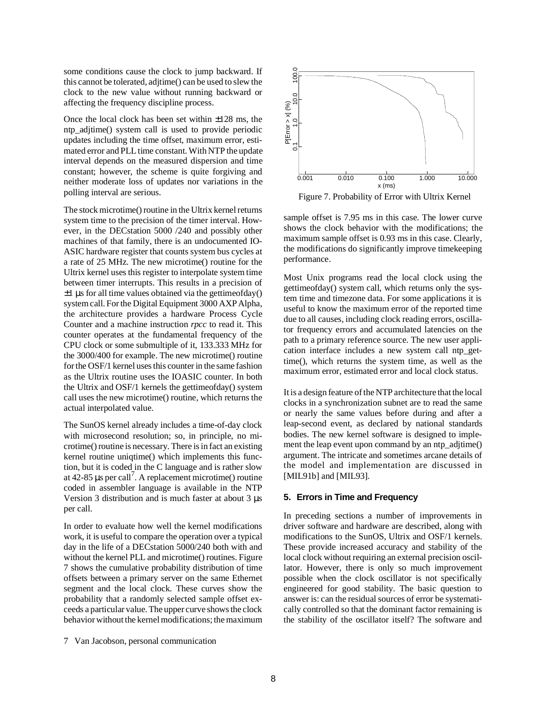some conditions cause the clock to jump backward. If this cannot be tolerated, adjtime() can be used to slew the clock to the new value without running backward or affecting the frequency discipline process.

Once the local clock has been set within ±128 ms, the ntp aditime() system call is used to provide periodic updates including the time offset, maximum error, estimated error and PLL time constant. With NTP the update interval depends on the measured dispersion and time constant; however, the scheme is quite forgiving and neither moderate loss of updates nor variations in the polling interval are serious.

The stock microtime() routine in the Ultrix kernel returns system time to the precision of the timer interval. However, in the DECstation 5000 /240 and possibly other machines of that family, there is an undocumented IO-ASIC hardware register that counts system bus cycles at a rate of 25 MHz. The new microtime() routine for the Ultrix kernel uses this register to interpolate system time between timer interrupts. This results in a precision of  $\pm 1$  µs for all time values obtained via the gettimeofday() system call. For the Digital Equipment 3000 AXP Alpha, the architecture provides a hardware Process Cycle Counter and a machine instruction *rpcc* to read it. This counter operates at the fundamental frequency of the CPU clock or some submultiple of it, 133.333 MHz for the 3000/400 for example. The new microtime() routine for the OSF/1 kernel uses this counter in the same fashion as the Ultrix routine uses the IOASIC counter. In both the Ultrix and OSF/1 kernels the gettimeofday() system call uses the new microtime() routine, which returns the actual interpolated value.

The SunOS kernel already includes a time-of-day clock with microsecond resolution; so, in principle, no microtime() routine is necessary. There is in fact an existing kernel routine uniqtime() which implements this function, but it is coded in the C language and is rather slow at  $42-85$  µs per call<sup>7</sup>. A replacement microtime() routine coded in assembler language is available in the NTP Version 3 distribution and is much faster at about 3 µs per call.

In order to evaluate how well the kernel modifications work, it is useful to compare the operation over a typical day in the life of a DECstation 5000/240 both with and without the kernel PLL and microtime() routines. Figure 7 shows the cumulative probability distribution of time offsets between a primary server on the same Ethernet segment and the local clock. These curves show the probability that a randomly selected sample offset exceeds a particular value. The upper curve shows the clock behavior without the kernel modifications; the maximum



Figure 7. Probability of Error with Ultrix Kernel

sample offset is 7.95 ms in this case. The lower curve shows the clock behavior with the modifications; the maximum sample offset is 0.93 ms in this case. Clearly, the modifications do significantly improve timekeeping performance.

Most Unix programs read the local clock using the gettimeofday() system call, which returns only the system time and timezone data. For some applications it is useful to know the maximum error of the reported time due to all causes, including clock reading errors, oscillator frequency errors and accumulated latencies on the path to a primary reference source. The new user application interface includes a new system call ntp\_gettime(), which returns the system time, as well as the maximum error, estimated error and local clock status.

It is a design feature of the NTP architecture that the local clocks in a synchronization subnet are to read the same or nearly the same values before during and after a leap-second event, as declared by national standards bodies. The new kernel software is designed to implement the leap event upon command by an ntp\_adjtime() argument. The intricate and sometimes arcane details of the model and implementation are discussed in [MIL91b] and [MIL93].

## **5. Errors in Time and Frequency**

In preceding sections a number of improvements in driver software and hardware are described, along with modifications to the SunOS, Ultrix and OSF/1 kernels. These provide increased accuracy and stability of the local clock without requiring an external precision oscillator. However, there is only so much improvement possible when the clock oscillator is not specifically engineered for good stability. The basic question to answer is: can the residual sources of error be systematically controlled so that the dominant factor remaining is the stability of the oscillator itself? The software and

<sup>7</sup> Van Jacobson, personal communication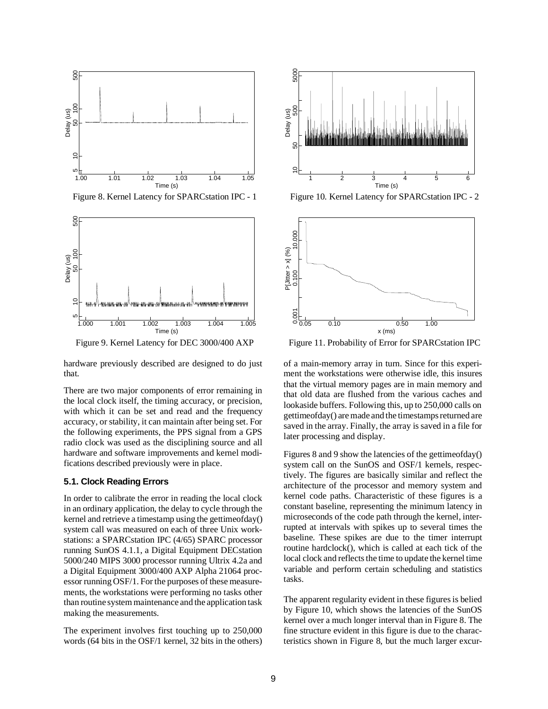

Figure 8. Kernel Latency for SPARCstation IPC - 1



Figure 9. Kernel Latency for DEC 3000/400 AXP

hardware previously described are designed to do just that.

There are two major components of error remaining in the local clock itself, the timing accuracy, or precision, with which it can be set and read and the frequency accuracy, or stability, it can maintain after being set. For the following experiments, the PPS signal from a GPS radio clock was used as the disciplining source and all hardware and software improvements and kernel modifications described previously were in place.

#### **5.1. Clock Reading Errors**

In order to calibrate the error in reading the local clock in an ordinary application, the delay to cycle through the kernel and retrieve a timestamp using the gettimeofday() system call was measured on each of three Unix workstations: a SPARCstation IPC (4/65) SPARC processor running SunOS 4.1.1, a Digital Equipment DECstation 5000/240 MIPS 3000 processor running Ultrix 4.2a and a Digital Equipment 3000/400 AXP Alpha 21064 processor running OSF/1. For the purposes of these measurements, the workstations were performing no tasks other than routine system maintenance and the application task making the measurements.

The experiment involves first touching up to 250,000 words (64 bits in the OSF/1 kernel, 32 bits in the others)



Figure 10. Kernel Latency for SPARCstation IPC - 2



Figure 11. Probability of Error for SPARCstation IPC

of a main-memory array in turn. Since for this experiment the workstations were otherwise idle, this insures that the virtual memory pages are in main memory and that old data are flushed from the various caches and lookaside buffers. Following this, up to 250,000 calls on gettimeofday() are made and the timestamps returned are saved in the array. Finally, the array is saved in a file for later processing and display.

Figures 8 and 9 show the latencies of the gettimeofday() system call on the SunOS and OSF/1 kernels, respectively. The figures are basically similar and reflect the architecture of the processor and memory system and kernel code paths. Characteristic of these figures is a constant baseline, representing the minimum latency in microseconds of the code path through the kernel, interrupted at intervals with spikes up to several times the baseline. These spikes are due to the timer interrupt routine hardclock(), which is called at each tick of the local clock and reflects the time to update the kernel time variable and perform certain scheduling and statistics tasks.

The apparent regularity evident in these figures is belied by Figure 10, which shows the latencies of the SunOS kernel over a much longer interval than in Figure 8. The fine structure evident in this figure is due to the characteristics shown in Figure 8, but the much larger excur-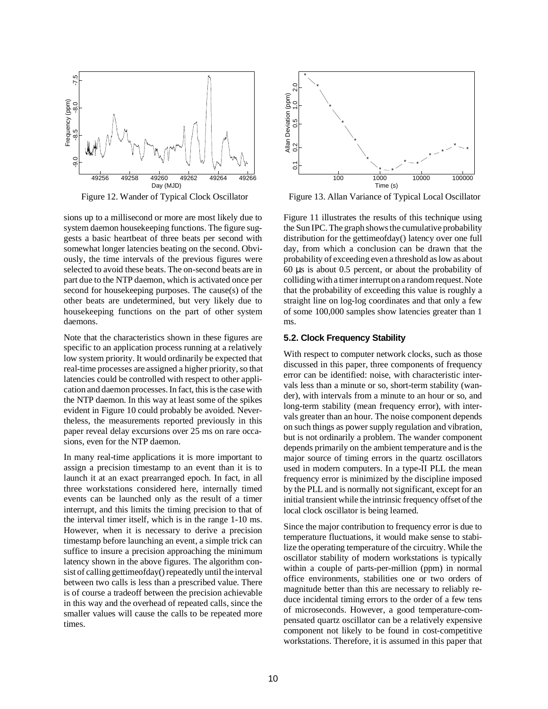

Figure 12. Wander of Typical Clock Oscillator

sions up to a millisecond or more are most likely due to system daemon housekeeping functions. The figure suggests a basic heartbeat of three beats per second with somewhat longer latencies beating on the second. Obviously, the time intervals of the previous figures were selected to avoid these beats. The on-second beats are in part due to the NTP daemon, which is activated once per second for housekeeping purposes. The cause(s) of the other beats are undetermined, but very likely due to housekeeping functions on the part of other system daemons.

Note that the characteristics shown in these figures are specific to an application process running at a relatively low system priority. It would ordinarily be expected that real-time processes are assigned a higher priority, so that latencies could be controlled with respect to other application and daemon processes. In fact, this is the case with the NTP daemon. In this way at least some of the spikes evident in Figure 10 could probably be avoided. Nevertheless, the measurements reported previously in this paper reveal delay excursions over 25 ms on rare occasions, even for the NTP daemon.

In many real-time applications it is more important to assign a precision timestamp to an event than it is to launch it at an exact prearranged epoch. In fact, in all three workstations considered here, internally timed events can be launched only as the result of a timer interrupt, and this limits the timing precision to that of the interval timer itself, which is in the range 1-10 ms. However, when it is necessary to derive a precision timestamp before launching an event, a simple trick can suffice to insure a precision approaching the minimum latency shown in the above figures. The algorithm consist of calling gettimeofday() repeatedly until the interval between two calls is less than a prescribed value. There is of course a tradeoff between the precision achievable in this way and the overhead of repeated calls, since the smaller values will cause the calls to be repeated more times.



Figure 13. Allan Variance of Typical Local Oscillator

Figure 11 illustrates the results of this technique using the Sun IPC. The graph shows the cumulative probability distribution for the gettimeofday() latency over one full day, from which a conclusion can be drawn that the probability of exceeding even a threshold as low as about 60 µs is about 0.5 percent, or about the probability of colliding with a timer interrupt on a random request. Note that the probability of exceeding this value is roughly a straight line on log-log coordinates and that only a few of some 100,000 samples show latencies greater than 1 ms.

#### **5.2. Clock Frequency Stability**

With respect to computer network clocks, such as those discussed in this paper, three components of frequency error can be identified: noise, with characteristic intervals less than a minute or so, short-term stability (wander), with intervals from a minute to an hour or so, and long-term stability (mean frequency error), with intervals greater than an hour. The noise component depends on such things as power supply regulation and vibration, but is not ordinarily a problem. The wander component depends primarily on the ambient temperature and is the major source of timing errors in the quartz oscillators used in modern computers. In a type-II PLL the mean frequency error is minimized by the discipline imposed by the PLL and is normally not significant, except for an initial transient while the intrinsic frequency offset of the local clock oscillator is being learned.

Since the major contribution to frequency error is due to temperature fluctuations, it would make sense to stabilize the operating temperature of the circuitry. While the oscillator stability of modern workstations is typically within a couple of parts-per-million (ppm) in normal office environments, stabilities one or two orders of magnitude better than this are necessary to reliably reduce incidental timing errors to the order of a few tens of microseconds. However, a good temperature-compensated quartz oscillator can be a relatively expensive component not likely to be found in cost-competitive workstations. Therefore, it is assumed in this paper that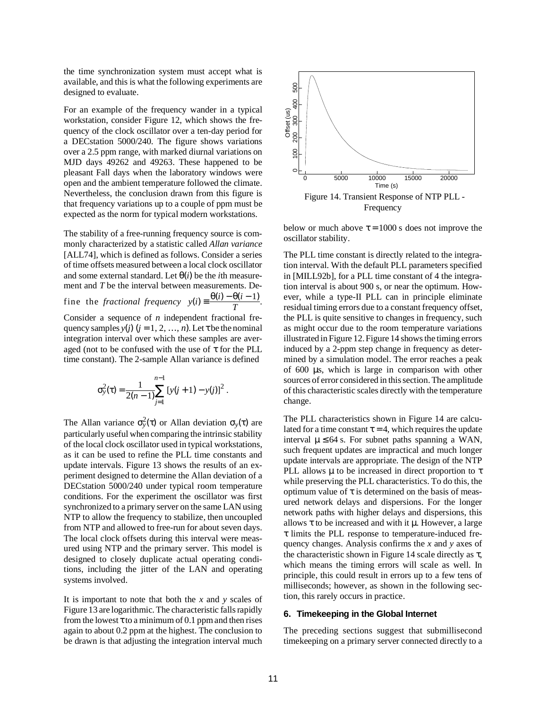the time synchronization system must accept what is available, and this is what the following experiments are designed to evaluate.

For an example of the frequency wander in a typical workstation, consider Figure 12, which shows the frequency of the clock oscillator over a ten-day period for a DECstation 5000/240. The figure shows variations over a 2.5 ppm range, with marked diurnal variations on MJD days 49262 and 49263. These happened to be pleasant Fall days when the laboratory windows were open and the ambient temperature followed the climate. Nevertheless, the conclusion drawn from this figure is that frequency variations up to a couple of ppm must be expected as the norm for typical modern workstations.

The stability of a free-running frequency source is commonly characterized by a statistic called *Allan variance* [ALL74], which is defined as follows. Consider a series of time offsets measured between a local clock oscillator and some external standard. Let  $\theta(i)$  be the *i*th measurement and *T* be the interval between measurements. Define the *fractional frequency*  $y(i) = \frac{\theta(i) - \theta(i-1)}{T}$ .

Consider a sequence of *n* independent fractional frequency samples  $y(j)$  ( $j = 1, 2, ..., n$ ). Let  $\tau$  be the nominal integration interval over which these samples are averaged (not to be confused with the use of  $\tau$  for the PLL time constant). The 2-sample Allan variance is defined

$$
\sigma_y^2(\tau) = \frac{1}{2(n-1)} \sum_{j=1}^{n-1} [y(j+1) - y(j)]^2.
$$

The Allan variance  $\sigma_y^2(\tau)$  or Allan deviation  $\sigma_y(\tau)$  are particularly useful when comparing the intrinsic stability of the local clock oscillator used in typical workstations, as it can be used to refine the PLL time constants and update intervals. Figure 13 shows the results of an experiment designed to determine the Allan deviation of a DECstation 5000/240 under typical room temperature conditions. For the experiment the oscillator was first synchronized to a primary server on the same LAN using NTP to allow the frequency to stabilize, then uncoupled from NTP and allowed to free-run for about seven days. The local clock offsets during this interval were measured using NTP and the primary server. This model is designed to closely duplicate actual operating conditions, including the jitter of the LAN and operating systems involved.

It is important to note that both the *x* and *y* scales of Figure 13 are logarithmic. The characteristic falls rapidly from the lowest  $\tau$  to a minimum of 0.1 ppm and then rises again to about 0.2 ppm at the highest. The conclusion to be drawn is that adjusting the integration interval much



below or much above  $\tau = 1000$  s does not improve the oscillator stability.

The PLL time constant is directly related to the integration interval. With the default PLL parameters specified in [MILL92b], for a PLL time constant of 4 the integration interval is about 900 s, or near the optimum. However, while a type-II PLL can in principle eliminate residual timing errors due to a constant frequency offset, the PLL is quite sensitive to changes in frequency, such as might occur due to the room temperature variations illustrated in Figure 12. Figure 14 shows the timing errors induced by a 2-ppm step change in frequency as determined by a simulation model. The error reaches a peak of 600 µs, which is large in comparison with other sources of error considered in this section. The amplitude of this characteristic scales directly with the temperature change.

The PLL characteristics shown in Figure 14 are calculated for a time constant  $\tau = 4$ , which requires the update interval  $\mu \leq 64$  s. For subnet paths spanning a WAN, such frequent updates are impractical and much longer update intervals are appropriate. The design of the NTP PLL allows  $\mu$  to be increased in direct proportion to  $\tau$ while preserving the PLL characteristics. To do this, the optimum value of  $\tau$  is determined on the basis of measured network delays and dispersions. For the longer network paths with higher delays and dispersions, this allows  $\tau$  to be increased and with it  $\mu$ . However, a large τ limits the PLL response to temperature-induced frequency changes. Analysis confirms the *x* and *y* axes of the characteristic shown in Figure 14 scale directly as  $\tau$ , which means the timing errors will scale as well. In principle, this could result in errors up to a few tens of milliseconds; however, as shown in the following section, this rarely occurs in practice.

#### **6. Timekeeping in the Global Internet**

The preceding sections suggest that submillisecond timekeeping on a primary server connected directly to a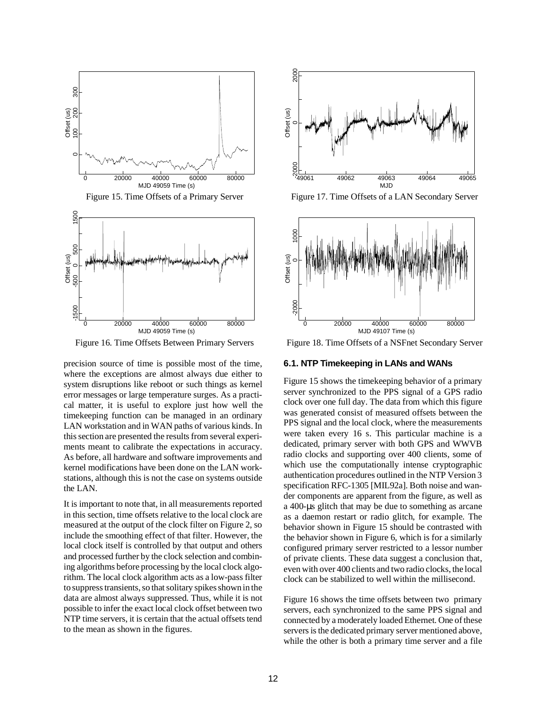

Figure 15. Time Offsets of a Primary Server



Figure 16. Time Offsets Between Primary Servers

precision source of time is possible most of the time, where the exceptions are almost always due either to system disruptions like reboot or such things as kernel error messages or large temperature surges. As a practical matter, it is useful to explore just how well the timekeeping function can be managed in an ordinary LAN workstation and in WAN paths of various kinds. In this section are presented the results from several experiments meant to calibrate the expectations in accuracy. As before, all hardware and software improvements and kernel modifications have been done on the LAN workstations, although this is not the case on systems outside the LAN.

It is important to note that, in all measurements reported in this section, time offsets relative to the local clock are measured at the output of the clock filter on Figure 2, so include the smoothing effect of that filter. However, the local clock itself is controlled by that output and others and processed further by the clock selection and combining algorithms before processing by the local clock algorithm. The local clock algorithm acts as a low-pass filter to suppress transients, so that solitary spikes shown in the data are almost always suppressed. Thus, while it is not possible to infer the exact local clock offset between two NTP time servers, it is certain that the actual offsets tend to the mean as shown in the figures.



Figure 17. Time Offsets of a LAN Secondary Server



Figure 18. Time Offsets of a NSFnet Secondary Server

## **6.1. NTP Timekeeping in LANs and WANs**

Figure 15 shows the timekeeping behavior of a primary server synchronized to the PPS signal of a GPS radio clock over one full day. The data from which this figure was generated consist of measured offsets between the PPS signal and the local clock, where the measurements were taken every 16 s. This particular machine is a dedicated, primary server with both GPS and WWVB radio clocks and supporting over 400 clients, some of which use the computationally intense cryptographic authentication procedures outlined in the NTP Version 3 specification RFC-1305 [MIL92a]. Both noise and wander components are apparent from the figure, as well as a 400-µs glitch that may be due to something as arcane as a daemon restart or radio glitch, for example. The behavior shown in Figure 15 should be contrasted with the behavior shown in Figure 6, which is for a similarly configured primary server restricted to a lessor number of private clients. These data suggest a conclusion that, even with over 400 clients and two radio clocks, the local clock can be stabilized to well within the millisecond.

Figure 16 shows the time offsets between two primary servers, each synchronized to the same PPS signal and connected by a moderately loaded Ethernet. One of these servers is the dedicated primary server mentioned above, while the other is both a primary time server and a file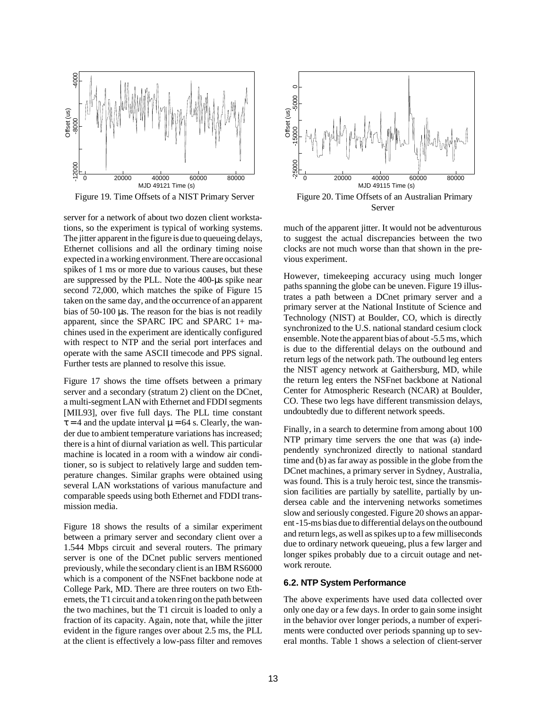

Figure 19. Time Offsets of a NIST Primary Server

server for a network of about two dozen client workstations, so the experiment is typical of working systems. The jitter apparent in the figure is due to queueing delays, Ethernet collisions and all the ordinary timing noise expected in a working environment. There are occasional spikes of 1 ms or more due to various causes, but these are suppressed by the PLL. Note the 400-µs spike near second 72,000, which matches the spike of Figure 15 taken on the same day, and the occurrence of an apparent bias of 50-100 µs. The reason for the bias is not readily apparent, since the SPARC IPC and SPARC 1+ machines used in the experiment are identically configured with respect to NTP and the serial port interfaces and operate with the same ASCII timecode and PPS signal. Further tests are planned to resolve this issue.

Figure 17 shows the time offsets between a primary server and a secondary (stratum 2) client on the DCnet, a multi-segment LAN with Ethernet and FDDI segments [MIL93], over five full days. The PLL time constant  $\tau = 4$  and the update interval  $\mu = 64$  s. Clearly, the wander due to ambient temperature variations has increased; there is a hint of diurnal variation as well. This particular machine is located in a room with a window air conditioner, so is subject to relatively large and sudden temperature changes. Similar graphs were obtained using several LAN workstations of various manufacture and comparable speeds using both Ethernet and FDDI transmission media.

Figure 18 shows the results of a similar experiment between a primary server and secondary client over a 1.544 Mbps circuit and several routers. The primary server is one of the DCnet public servers mentioned previously, while the secondary client is an IBM RS6000 which is a component of the NSFnet backbone node at College Park, MD. There are three routers on two Ethernets, the T1 circuit and a token ring on the path between the two machines, but the T1 circuit is loaded to only a fraction of its capacity. Again, note that, while the jitter evident in the figure ranges over about 2.5 ms, the PLL at the client is effectively a low-pass filter and removes



much of the apparent jitter. It would not be adventurous to suggest the actual discrepancies between the two clocks are not much worse than that shown in the previous experiment.

However, timekeeping accuracy using much longer paths spanning the globe can be uneven. Figure 19 illustrates a path between a DCnet primary server and a primary server at the National Institute of Science and Technology (NIST) at Boulder, CO, which is directly synchronized to the U.S. national standard cesium clock ensemble. Note the apparent bias of about -5.5 ms, which is due to the differential delays on the outbound and return legs of the network path. The outbound leg enters the NIST agency network at Gaithersburg, MD, while the return leg enters the NSFnet backbone at National Center for Atmospheric Research (NCAR) at Boulder, CO. These two legs have different transmission delays, undoubtedly due to different network speeds.

Finally, in a search to determine from among about 100 NTP primary time servers the one that was (a) independently synchronized directly to national standard time and (b) as far away as possible in the globe from the DCnet machines, a primary server in Sydney, Australia, was found. This is a truly heroic test, since the transmission facilities are partially by satellite, partially by undersea cable and the intervening networks sometimes slow and seriously congested. Figure 20 shows an apparent -15-ms bias due to differential delays on the outbound and return legs, as well as spikes up to a few milliseconds due to ordinary network queueing, plus a few larger and longer spikes probably due to a circuit outage and network reroute.

#### **6.2. NTP System Performance**

The above experiments have used data collected over only one day or a few days. In order to gain some insight in the behavior over longer periods, a number of experiments were conducted over periods spanning up to several months. Table 1 shows a selection of client-server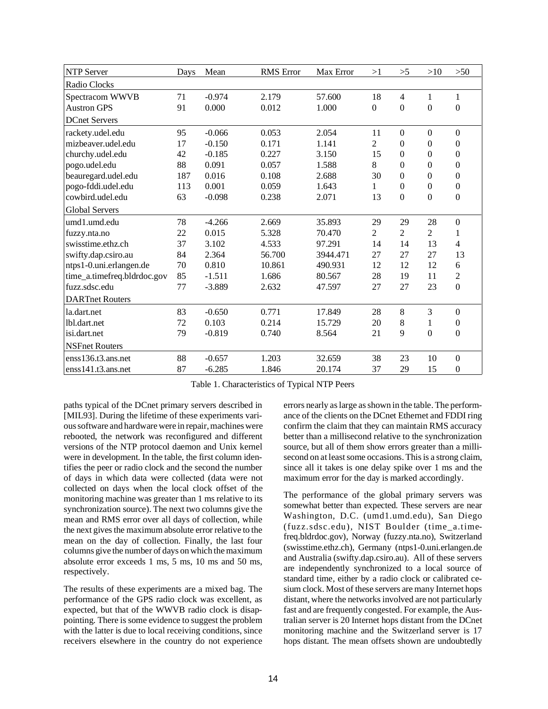| <b>NTP Server</b>           | Days | Mean     | <b>RMS</b> Error | Max Error | >1             | >5               | >10            | $>50$            |
|-----------------------------|------|----------|------------------|-----------|----------------|------------------|----------------|------------------|
| Radio Clocks                |      |          |                  |           |                |                  |                |                  |
| Spectracom WWVB             | 71   | $-0.974$ | 2.179            | 57.600    | 18             | 4                | 1              | 1                |
| <b>Austron GPS</b>          | 91   | 0.000    | 0.012            | 1.000     | $\overline{0}$ | $\overline{0}$   | $\mathbf{0}$   | $\mathbf{0}$     |
| <b>DCnet Servers</b>        |      |          |                  |           |                |                  |                |                  |
| rackety.udel.edu            | 95   | $-0.066$ | 0.053            | 2.054     | 11             | $\boldsymbol{0}$ | $\Omega$       | $\boldsymbol{0}$ |
| mizbeaver.udel.edu          | 17   | $-0.150$ | 0.171            | 1.141     | $\overline{2}$ | $\Omega$         | $\Omega$       | $\mathbf{0}$     |
| churchy.udel.edu            | 42   | $-0.185$ | 0.227            | 3.150     | 15             | $\mathbf{0}$     | $\Omega$       | $\boldsymbol{0}$ |
| pogo.udel.edu               | 88   | 0.091    | 0.057            | 1.588     | 8              | $\boldsymbol{0}$ | $\Omega$       | $\boldsymbol{0}$ |
| beauregard.udel.edu         | 187  | 0.016    | 0.108            | 2.688     | 30             | $\mathbf{0}$     | $\theta$       | $\boldsymbol{0}$ |
| pogo-fddi.udel.edu          | 113  | 0.001    | 0.059            | 1.643     | 1              | $\boldsymbol{0}$ | $\Omega$       | $\boldsymbol{0}$ |
| cowbird.udel.edu            | 63   | $-0.098$ | 0.238            | 2.071     | 13             | $\mathbf{0}$     | $\mathbf{0}$   | $\boldsymbol{0}$ |
| <b>Global Servers</b>       |      |          |                  |           |                |                  |                |                  |
| umd1.umd.edu                | 78   | $-4.266$ | 2.669            | 35.893    | 29             | 29               | 28             | $\boldsymbol{0}$ |
| fuzzy.nta.no                | 22   | 0.015    | 5.328            | 70.470    | $\overline{2}$ | $\overline{2}$   | $\overline{2}$ | 1                |
| swisstime.ethz.ch           | 37   | 3.102    | 4.533            | 97.291    | 14             | 14               | 13             | $\overline{4}$   |
| swifty.dap.csiro.au         | 84   | 2.364    | 56.700           | 3944.471  | 27             | 27               | 27             | 13               |
| ntps1-0.uni.erlangen.de     | 70   | 0.810    | 10.861           | 490.931   | 12             | 12               | 12             | 6                |
| time_a.timefreq.bldrdoc.gov | 85   | $-1.511$ | 1.686            | 80.567    | 28             | 19               | 11             | $\sqrt{2}$       |
| fuzz.sdsc.edu               | 77   | $-3.889$ | 2.632            | 47.597    | 27             | 27               | 23             | $\boldsymbol{0}$ |
| <b>DARTnet Routers</b>      |      |          |                  |           |                |                  |                |                  |
| la.dart.net                 | 83   | $-0.650$ | 0.771            | 17.849    | 28             | 8                | 3              | $\mathbf{0}$     |
| lbl.dart.net                | 72   | 0.103    | 0.214            | 15.729    | 20             | $8\,$            | 1              | $\boldsymbol{0}$ |
| isi.dart.net                | 79   | $-0.819$ | 0.740            | 8.564     | 21             | 9                | $\Omega$       | $\boldsymbol{0}$ |
| <b>NSFnet Routers</b>       |      |          |                  |           |                |                  |                |                  |
| ens136.13.ans.net           | 88   | $-0.657$ | 1.203            | 32.659    | 38             | 23               | 10             | $\overline{0}$   |
| enss141.t3.ans.net          | 87   | $-6.285$ | 1.846            | 20.174    | 37             | 29               | 15             | $\boldsymbol{0}$ |

Table 1. Characteristics of Typical NTP Peers

paths typical of the DCnet primary servers described in [MIL93]. During the lifetime of these experiments various software and hardware were in repair, machines were rebooted, the network was reconfigured and different versions of the NTP protocol daemon and Unix kernel were in development. In the table, the first column identifies the peer or radio clock and the second the number of days in which data were collected (data were not collected on days when the local clock offset of the monitoring machine was greater than 1 ms relative to its synchronization source). The next two columns give the mean and RMS error over all days of collection, while the next gives the maximum absolute error relative to the mean on the day of collection. Finally, the last four columns give the number of days on which the maximum absolute error exceeds 1 ms, 5 ms, 10 ms and 50 ms, respectively.

The results of these experiments are a mixed bag. The performance of the GPS radio clock was excellent, as expected, but that of the WWVB radio clock is disappointing. There is some evidence to suggest the problem with the latter is due to local receiving conditions, since receivers elsewhere in the country do not experience errors nearly as large as shown in the table. The performance of the clients on the DCnet Ethernet and FDDI ring confirm the claim that they can maintain RMS accuracy better than a millisecond relative to the synchronization source, but all of them show errors greater than a millisecond on at least some occasions. This is a strong claim, since all it takes is one delay spike over 1 ms and the maximum error for the day is marked accordingly.

The performance of the global primary servers was somewhat better than expected. These servers are near Washington, D.C. (umd1.umd.edu), San Diego (fuzz.sdsc.edu), NIST Boulder (time\_a.timefreq.bldrdoc.gov), Norway (fuzzy.nta.no), Switzerland (swisstime.ethz.ch), Germany (ntps1-0.uni.erlangen.de and Australia (swifty.dap.csiro.au). All of these servers are independently synchronized to a local source of standard time, either by a radio clock or calibrated cesium clock. Most of these servers are many Internet hops distant, where the networks involved are not particularly fast and are frequently congested. For example, the Australian server is 20 Internet hops distant from the DCnet monitoring machine and the Switzerland server is 17 hops distant. The mean offsets shown are undoubtedly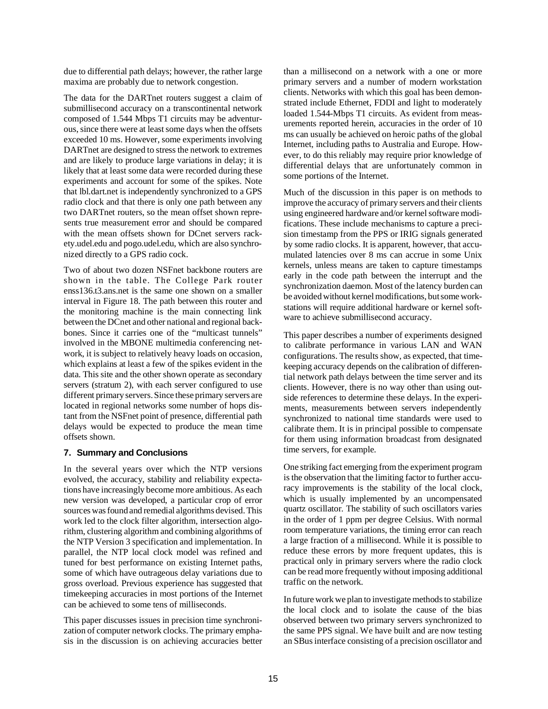due to differential path delays; however, the rather large maxima are probably due to network congestion.

The data for the DARTnet routers suggest a claim of submillisecond accuracy on a transcontinental network composed of 1.544 Mbps T1 circuits may be adventurous, since there were at least some days when the offsets exceeded 10 ms. However, some experiments involving DARTnet are designed to stress the network to extremes and are likely to produce large variations in delay; it is likely that at least some data were recorded during these experiments and account for some of the spikes. Note that lbl.dart.net is independently synchronized to a GPS radio clock and that there is only one path between any two DARTnet routers, so the mean offset shown represents true measurement error and should be compared with the mean offsets shown for DCnet servers rackety.udel.edu and pogo.udel.edu, which are also synchronized directly to a GPS radio cock.

Two of about two dozen NSFnet backbone routers are shown in the table. The College Park router enss136.t3.ans.net is the same one shown on a smaller interval in Figure 18. The path between this router and the monitoring machine is the main connecting link between the DCnet and other national and regional backbones. Since it carries one of the "multicast tunnels" involved in the MBONE multimedia conferencing network, it is subject to relatively heavy loads on occasion, which explains at least a few of the spikes evident in the data. This site and the other shown operate as secondary servers (stratum 2), with each server configured to use different primary servers. Since these primary servers are located in regional networks some number of hops distant from the NSFnet point of presence, differential path delays would be expected to produce the mean time offsets shown.

## **7. Summary and Conclusions**

In the several years over which the NTP versions evolved, the accuracy, stability and reliability expectations have increasingly become more ambitious. As each new version was developed, a particular crop of error sources was found and remedial algorithms devised. This work led to the clock filter algorithm, intersection algorithm, clustering algorithm and combining algorithms of the NTP Version 3 specification and implementation. In parallel, the NTP local clock model was refined and tuned for best performance on existing Internet paths, some of which have outrageous delay variations due to gross overload. Previous experience has suggested that timekeeping accuracies in most portions of the Internet can be achieved to some tens of milliseconds.

This paper discusses issues in precision time synchronization of computer network clocks. The primary emphasis in the discussion is on achieving accuracies better than a millisecond on a network with a one or more primary servers and a number of modern workstation clients. Networks with which this goal has been demonstrated include Ethernet, FDDI and light to moderately loaded 1.544-Mbps T1 circuits. As evident from measurements reported herein, accuracies in the order of 10 ms can usually be achieved on heroic paths of the global Internet, including paths to Australia and Europe. However, to do this reliably may require prior knowledge of differential delays that are unfortunately common in some portions of the Internet.

Much of the discussion in this paper is on methods to improve the accuracy of primary servers and their clients using engineered hardware and/or kernel software modifications. These include mechanisms to capture a precision timestamp from the PPS or IRIG signals generated by some radio clocks. It is apparent, however, that accumulated latencies over 8 ms can accrue in some Unix kernels, unless means are taken to capture timestamps early in the code path between the interrupt and the synchronization daemon. Most of the latency burden can be avoided without kernel modifications, but some workstations will require additional hardware or kernel software to achieve submillisecond accuracy.

This paper describes a number of experiments designed to calibrate performance in various LAN and WAN configurations. The results show, as expected, that timekeeping accuracy depends on the calibration of differential network path delays between the time server and its clients. However, there is no way other than using outside references to determine these delays. In the experiments, measurements between servers independently synchronized to national time standards were used to calibrate them. It is in principal possible to compensate for them using information broadcast from designated time servers, for example.

One striking fact emerging from the experiment program is the observation that the limiting factor to further accuracy improvements is the stability of the local clock, which is usually implemented by an uncompensated quartz oscillator. The stability of such oscillators varies in the order of 1 ppm per degree Celsius. With normal room temperature variations, the timing error can reach a large fraction of a millisecond. While it is possible to reduce these errors by more frequent updates, this is practical only in primary servers where the radio clock can be read more frequently without imposing additional traffic on the network.

In future work we plan to investigate methods to stabilize the local clock and to isolate the cause of the bias observed between two primary servers synchronized to the same PPS signal. We have built and are now testing an SBus interface consisting of a precision oscillator and